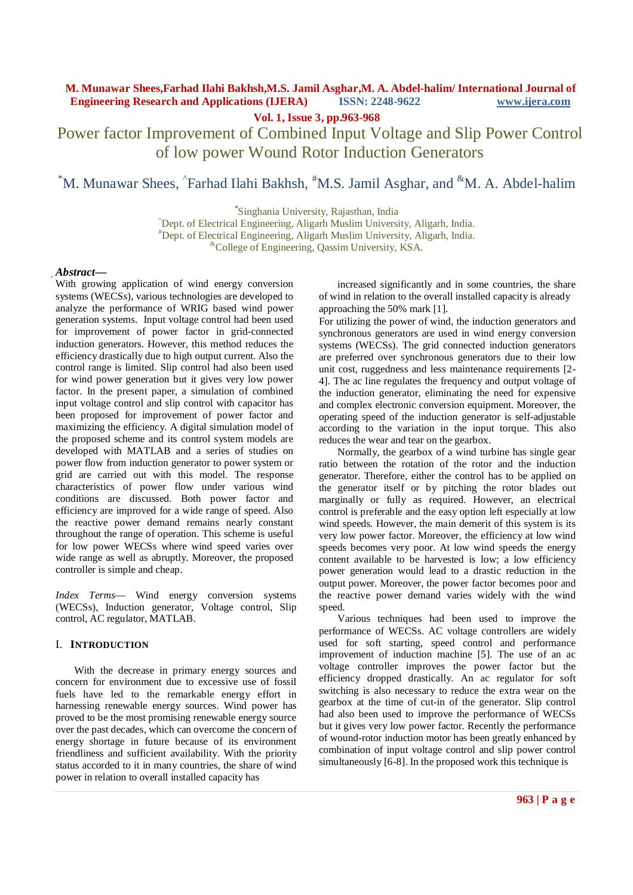**Vol. 1, Issue 3, pp.963-968**

Power factor Improvement of Combined Input Voltage and Slip Power Control of low power Wound Rotor Induction Generators

\*M. Munawar Shees, ^Farhad Ilahi Bakhsh, <sup>#</sup>M.S. Jamil Asghar, and <sup>&</sup>M. A. Abdel-halim

**\*** Singhania University, Rajasthan, India

^Dept. of Electrical Engineering, Aligarh Muslim University, Aligarh, India. #Dept. of Electrical Engineering, Aligarh Muslim University, Aligarh, India. &College of Engineering, Qassim University, KSA.

## *Abstract***—**

With growing application of wind energy conversion systems (WECSs), various technologies are developed to analyze the performance of WRIG based wind power generation systems. Input voltage control had been used for improvement of power factor in grid-connected induction generators. However, this method reduces the efficiency drastically due to high output current. Also the control range is limited. Slip control had also been used for wind power generation but it gives very low power factor. In the present paper, a simulation of combined input voltage control and slip control with capacitor has been proposed for improvement of power factor and maximizing the efficiency. A digital simulation model of the proposed scheme and its control system models are developed with MATLAB and a series of studies on power flow from induction generator to power system or grid are carried out with this model. The response characteristics of power flow under various wind conditions are discussed. Both power factor and efficiency are improved for a wide range of speed. Also the reactive power demand remains nearly constant throughout the range of operation. This scheme is useful for low power WECSs where wind speed varies over wide range as well as abruptly. Moreover, the proposed controller is simple and cheap.

*Index Terms*— Wind energy conversion systems (WECSs), Induction generator, Voltage control, Slip control, AC regulator, MATLAB.

# I. **INTRODUCTION**

With the decrease in primary energy sources and concern for environment due to excessive use of fossil fuels have led to the remarkable energy effort in harnessing renewable energy sources. Wind power has proved to be the most promising renewable energy source over the past decades, which can overcome the concern of energy shortage in future because of its environment friendliness and sufficient availability. With the priority status accorded to it in many countries, the share of wind power in relation to overall installed capacity has

increased significantly and in some countries, the share of wind in relation to the overall installed capacity is already approaching the 50% mark [1].

For utilizing the power of wind, the induction generators and synchronous generators are used in wind energy conversion systems (WECSs). The grid connected induction generators are preferred over synchronous generators due to their low unit cost, ruggedness and less maintenance requirements [2- 4]. The ac line regulates the frequency and output voltage of the induction generator, eliminating the need for expensive and complex electronic conversion equipment. Moreover, the operating speed of the induction generator is self-adjustable according to the variation in the input torque. This also reduces the wear and tear on the gearbox.

Normally, the gearbox of a wind turbine has single gear ratio between the rotation of the rotor and the induction generator. Therefore, either the control has to be applied on the generator itself or by pitching the rotor blades out marginally or fully as required. However, an electrical control is preferable and the easy option left especially at low wind speeds. However, the main demerit of this system is its very low power factor. Moreover, the efficiency at low wind speeds becomes very poor. At low wind speeds the energy content available to be harvested is low; a low efficiency power generation would lead to a drastic reduction in the output power. Moreover, the power factor becomes poor and the reactive power demand varies widely with the wind speed.

Various techniques had been used to improve the performance of WECSs. AC voltage controllers are widely used for soft starting, speed control and performance improvement of induction machine [5]. The use of an ac voltage controller improves the power factor but the efficiency dropped drastically. An ac regulator for soft switching is also necessary to reduce the extra wear on the gearbox at the time of cut-in of the generator. Slip control had also been used to improve the performance of WECSs but it gives very low power factor. Recently the performance of wound-rotor induction motor has been greatly enhanced by combination of input voltage control and slip power control simultaneously [6-8]. In the proposed work this technique is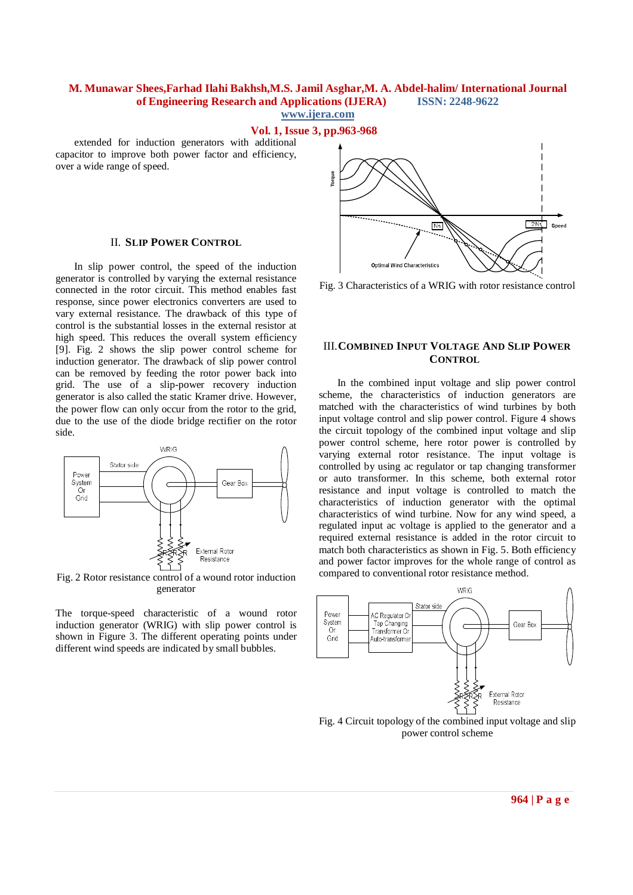## **Vol. 1, Issue 3, pp.963-968**

extended for induction generators with additional capacitor to improve both power factor and efficiency, over a wide range of speed.

#### II. **SLIP POWER CONTROL**

In slip power control, the speed of the induction generator is controlled by varying the external resistance connected in the rotor circuit. This method enables fast response, since power electronics converters are used to vary external resistance. The drawback of this type of control is the substantial losses in the external resistor at high speed. This reduces the overall system efficiency [9]. Fig. 2 shows the slip power control scheme for induction generator. The drawback of slip power control can be removed by feeding the rotor power back into grid. The use of a slip-power recovery induction generator is also called the static Kramer drive. However, the power flow can only occur from the rotor to the grid, due to the use of the diode bridge rectifier on the rotor side.



Fig. 2 Rotor resistance control of a wound rotor induction generator

The torque-speed characteristic of a wound rotor induction generator (WRIG) with slip power control is shown in Figure 3. The different operating points under different wind speeds are indicated by small bubbles.



Fig. 3 Characteristics of a WRIG with rotor resistance control

### III.**COMBINED INPUT VOLTAGE AND SLIP POWER CONTROL**

In the combined input voltage and slip power control scheme, the characteristics of induction generators are matched with the characteristics of wind turbines by both input voltage control and slip power control. Figure 4 shows the circuit topology of the combined input voltage and slip power control scheme, here rotor power is controlled by varying external rotor resistance. The input voltage is controlled by using ac regulator or tap changing transformer or auto transformer. In this scheme, both external rotor resistance and input voltage is controlled to match the characteristics of induction generator with the optimal characteristics of wind turbine. Now for any wind speed, a regulated input ac voltage is applied to the generator and a required external resistance is added in the rotor circuit to match both characteristics as shown in Fig. 5. Both efficiency and power factor improves for the whole range of control as compared to conventional rotor resistance method.



Fig. 4 Circuit topology of the combined input voltage and slip power control scheme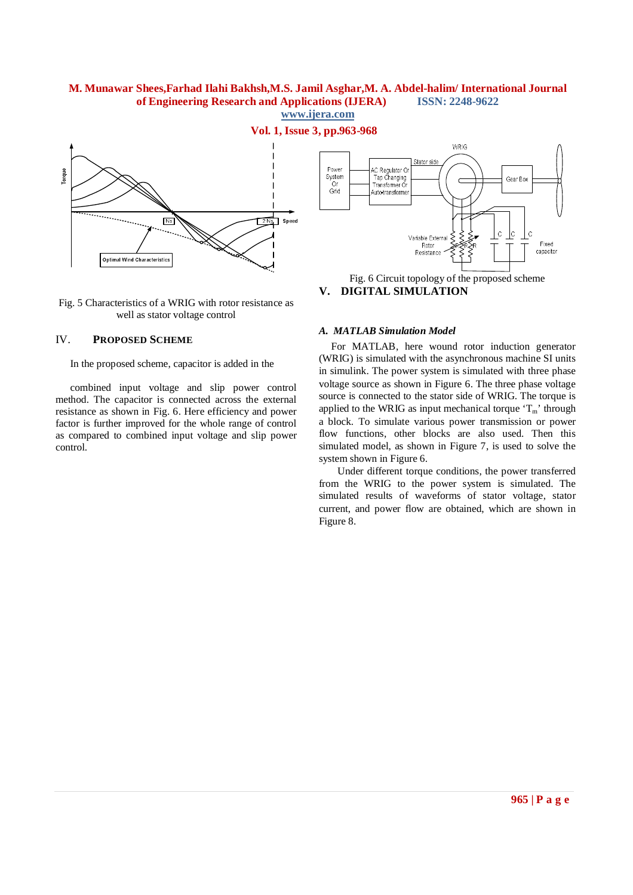

**Vol. 1, Issue 3, pp.963-968**



Fig. 5 Characteristics of a WRIG with rotor resistance as well as stator voltage control

#### IV. **PROPOSED SCHEME**

In the proposed scheme, capacitor is added in the

combined input voltage and slip power control method. The capacitor is connected across the external resistance as shown in Fig. 6. Here efficiency and power factor is further improved for the whole range of control as compared to combined input voltage and slip power control.



**V. DIGITAL SIMULATION**

#### *A. MATLAB Simulation Model*

For MATLAB, here wound rotor induction generator (WRIG) is simulated with the asynchronous machine SI units in simulink. The power system is simulated with three phase voltage source as shown in Figure 6. The three phase voltage source is connected to the stator side of WRIG. The torque is applied to the WRIG as input mechanical torque  $T_m$ ' through a block. To simulate various power transmission or power flow functions, other blocks are also used. Then this simulated model, as shown in Figure 7, is used to solve the system shown in Figure 6.

Under different torque conditions, the power transferred from the WRIG to the power system is simulated. The simulated results of waveforms of stator voltage, stator current, and power flow are obtained, which are shown in Figure 8.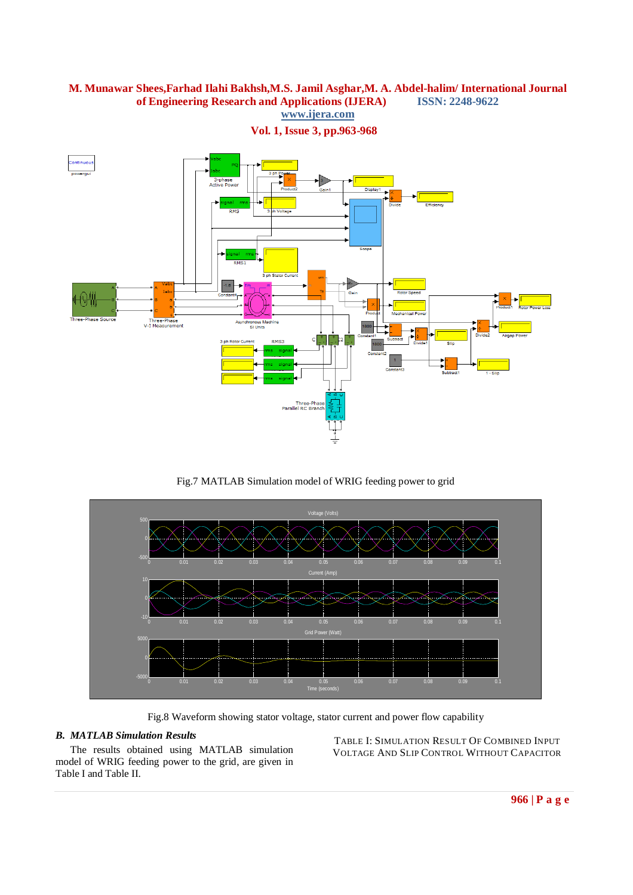

**Vol. 1, Issue 3, pp.963-968**

Fig.7 MATLAB Simulation model of WRIG feeding power to grid



Fig.8 Waveform showing stator voltage, stator current and power flow capability

# *B. MATLAB Simulation Results*

The results obtained using MATLAB simulation model of WRIG feeding power to the grid, are given in Table I and Table II.

TABLE I: SIMULATION RESULT OF COMBINED INPUT VOLTAGE AND SLIP CONTROL WITHOUT CAPACITOR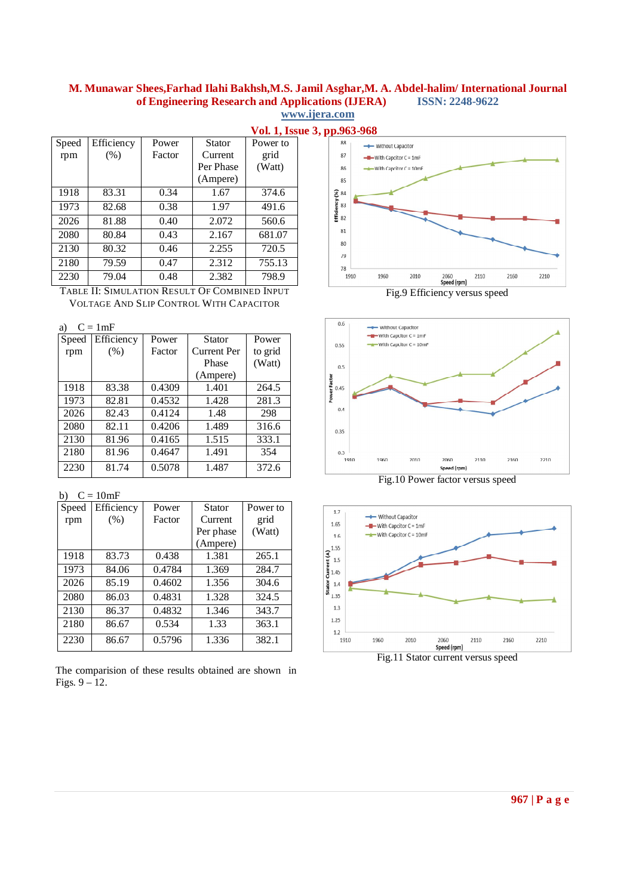|       |            |        |           | 1.011.11.100.01 |
|-------|------------|--------|-----------|-----------------|
| Speed | Efficiency | Power  | Stator    | Power to        |
| rpm   | $(\%)$     | Factor | Current   | grid            |
|       |            |        | Per Phase | (Watt)          |
|       |            |        | (Ampere)  |                 |
| 1918  | 83.31      | 0.34   | 1.67      | 374.6           |
| 1973  | 82.68      | 0.38   | 1.97      | 491.6           |
| 2026  | 81.88      | 0.40   | 2.072     | 560.6           |
| 2080  | 80.84      | 0.43   | 2.167     | 681.07          |
| 2130  | 80.32      | 0.46   | 2.255     | 720.5           |
| 2180  | 79.59      | 0.47   | 2.312     | 755.13          |
| 2230  | 79.04      | 0.48   | 2.382     | 798.9           |

TABLE II: SIMULATION RESULT OF COMBINED INPUT VOLTAGE AND SLIP CONTROL WITH CAPACITOR

a)  $C = 1mF$ 

| Speed | Efficiency | Power  | <b>Stator</b>      | Power   |
|-------|------------|--------|--------------------|---------|
| rpm   | (% )       | Factor | <b>Current Per</b> | to grid |
|       |            |        | Phase              | (Watt)  |
|       |            |        | (Ampere)           |         |
| 1918  | 83.38      | 0.4309 | 1.401              | 264.5   |
| 1973  | 82.81      | 0.4532 | 1.428              | 281.3   |
| 2026  | 82.43      | 0.4124 | 1.48               | 298     |
| 2080  | 82.11      | 0.4206 | 1.489              | 316.6   |
| 2130  | 81.96      | 0.4165 | 1.515              | 333.1   |
| 2180  | 81.96      | 0.4647 | 1.491              | 354     |
| 2230  | 81.74      | 0.5078 | 1.487              | 372.6   |

b)  $C = 10mF$ 

| Speed | Efficiency | Power  | Stator    | Power to |
|-------|------------|--------|-----------|----------|
| rpm   | (% )       | Factor | Current   | grid     |
|       |            |        | Per phase | (Watt)   |
|       |            |        | (Ampere)  |          |
| 1918  | 83.73      | 0.438  | 1.381     | 265.1    |
| 1973  | 84.06      | 0.4784 | 1.369     | 284.7    |
| 2026  | 85.19      | 0.4602 | 1.356     | 304.6    |
| 2080  | 86.03      | 0.4831 | 1.328     | 324.5    |
| 2130  | 86.37      | 0.4832 | 1.346     | 343.7    |
| 2180  | 86.67      | 0.534  | 1.33      | 363.1    |
| 2230  | 86.67      | 0.5796 | 1.336     | 382.1    |

The comparision of these results obtained are shown in Figs. 9 – 12.



Fig.9 Efficiency versus speed



Fig.10 Power factor versus speed